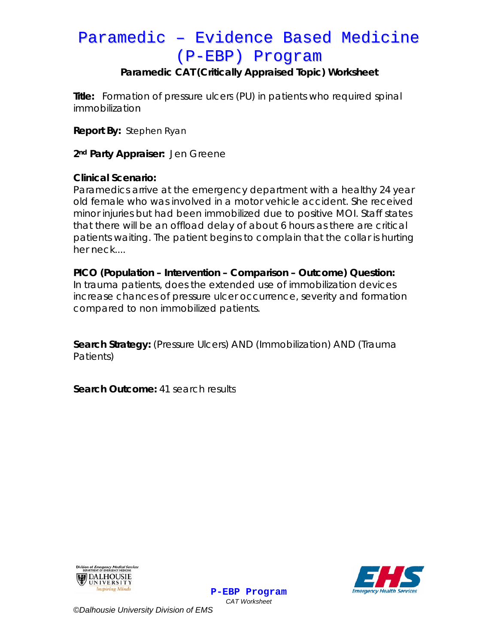# Paramedic - Evidence Based Medicine (P-EBP) Program

## Paramedic CAT (Critically Appraised Topic) Worksheet

Title: Formation of pressure ulcers (PU) in patients who required spinal *immobilization* 

**Report By: Stephen Ryan** 

2<sup>nd</sup> Party Appraiser: Jen Greene

### **Clinical Scenario:**

Paramedics arrive at the emergency department with a healthy 24 year old female who was involved in a motor vehicle accident. She received minor injuries but had been immobilized due to positive MOI. Staff states that there will be an offload delay of about 6 hours as there are critical patients waiting. The patient begins to complain that the collar is hurting her neck....

PICO (Population – Intervention – Comparison – Outcome) Question: In trauma patients, does the extended use of immobilization devices increase chances of pressure ulcer occurrence, severity and formation compared to non immobilized patients.

Search Strategy: (Pressure Ulcers) AND (Immobilization) AND (Trauma Patients)

> P-EBP Program **CAT Worksheet**

Search Outcome: 41 search results





©Dalhousie University Division of EMS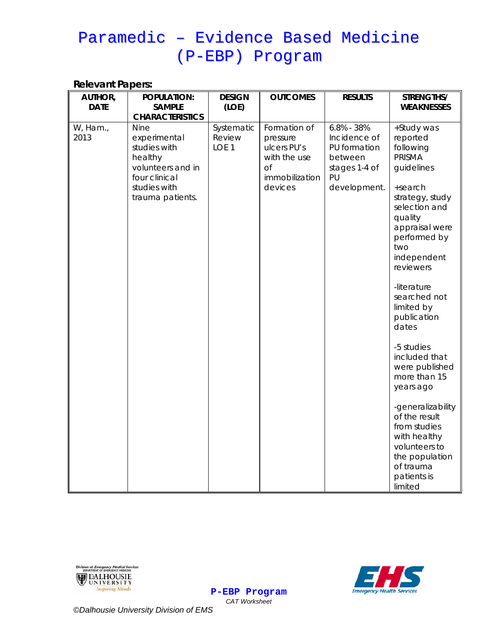# Paramedic - Evidence Based Medicine (P-EBP) Program

#### **Relevant Papers:**

| AUTHOR,<br><b>DATE</b> | <b>POPULATION:</b><br><b>SAMPLE</b><br><b>CHARACTERISTICS</b>                                                     | <b>DESIGN</b><br>(LOE)     | <b>OUTCOMES</b>                                                                   | <b>RESULTS</b>                                                                 | STRENGTHS/<br><b>WEAKNESSES</b>                                                                                                                                                                                                                                                      |
|------------------------|-------------------------------------------------------------------------------------------------------------------|----------------------------|-----------------------------------------------------------------------------------|--------------------------------------------------------------------------------|--------------------------------------------------------------------------------------------------------------------------------------------------------------------------------------------------------------------------------------------------------------------------------------|
| W, Ham.,<br>2013       | experimental<br>studies with<br>healthy<br>volunteers and in<br>four clinical<br>studies with<br>trauma patients. | Review<br>LOE <sub>1</sub> | pressure<br>ulcers PU's<br>with the use<br><b>of</b><br>immobilization<br>devices | Incidence of<br>PU formation<br>between<br>stages 1-4 of<br>PU<br>development. | +Study was<br>reported<br>following<br><b>PRISMA</b><br>guidelines<br>+search<br>strategy, study<br>selection and<br>quality<br>appraisal were<br>performed by<br>two<br>independent<br>reviewers<br>-literature<br>searched not<br>limited by<br>publication<br>dates<br>-5 studies |
|                        |                                                                                                                   |                            |                                                                                   |                                                                                | included that<br>were published<br>more than 15<br>years ago<br>-generalizability<br>of the result<br>from studies<br>with healthy                                                                                                                                                   |
|                        |                                                                                                                   |                            |                                                                                   |                                                                                | volunteers to<br>the population<br>of trauma<br>patients is<br>limited                                                                                                                                                                                                               |





**CAT Worksheet** ©Dalhousie University Division of EMS

**P-EBP Program**